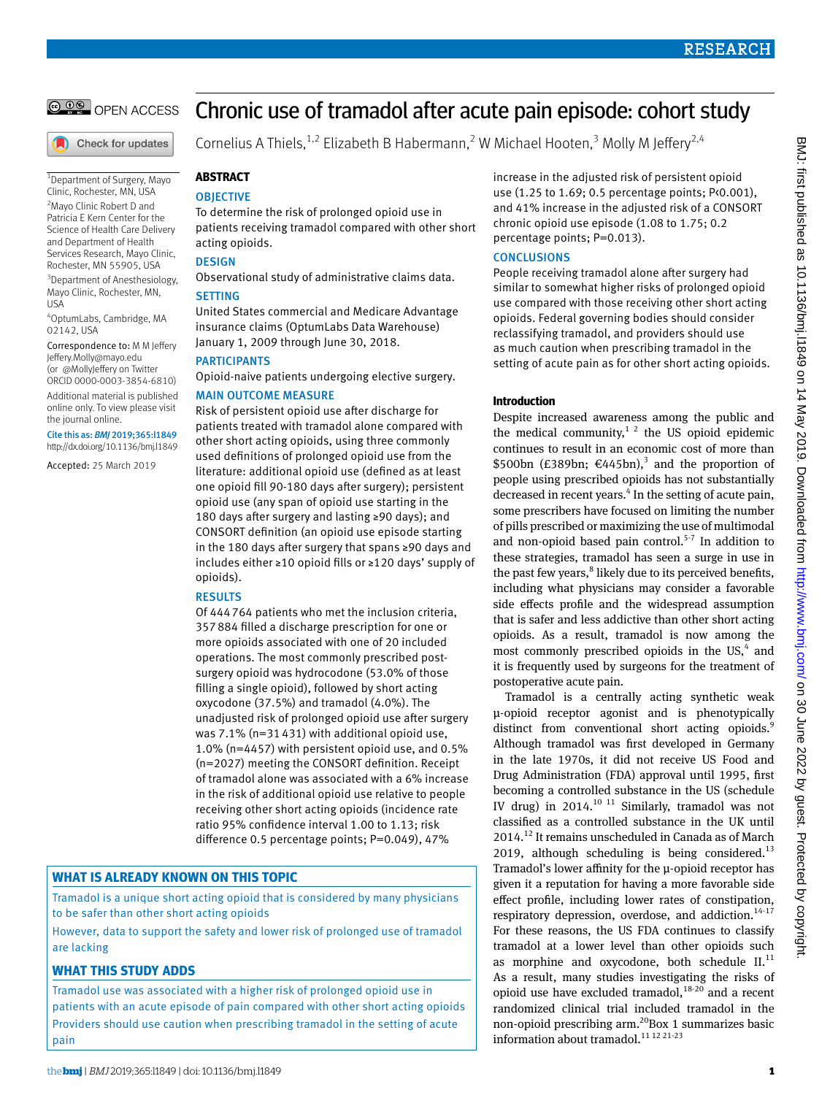

Check for updates

1 Department of Surgery, Mayo Clinic, Rochester, MN, USA <sup>2</sup> Mayo Clinic Robert D and Patricia E Kern Center for the Science of Health Care Delivery and Department of Health Services Research, Mayo Clinic, Rochester, MN 55905, USA <sup>3</sup>Department of Anesthesiology,

Mayo Clinic, Rochester, MN, USA

4 OptumLabs, Cambridge, MA 02142, USA

Correspondence to: M M Jeffery [Jeffery.Molly@mayo.edu](mailto:Jeffery.Molly@mayo.edu)  (or [@MollyJeffery](https://twitter.com/MollyJeffery) on Twitter ORCID [0000-0003-3854-6810\)](https://orcid.org/0000-0003-3854-6810)

Additional material is published online only. To view please visit the journal online.

Cite this as: *BMJ* 2019;365:l1849 http://dx.doi.org/10.1136/bmj.l1849

Accepted: 25 March 2019

# Chronic use of tramadol after acute pain episode: cohort study

Cornelius A Thiels,<sup>1,2</sup> Elizabeth B Habermann,<sup>2</sup> W Michael Hooten,<sup>3</sup> Molly M Jeffery<sup>2,4</sup>

# **Abstract**

# **OBJECTIVE**

To determine the risk of prolonged opioid use in patients receiving tramadol compared with other short acting opioids.

# **DESIGN**

Observational study of administrative claims data. **SETTING** 

United States commercial and Medicare Advantage insurance claims (OptumLabs Data Warehouse) January 1, 2009 through June 30, 2018.

**PARTICIPANTS** Opioid-naive patients undergoing elective surgery.

# Main outcome measure

Risk of persistent opioid use after discharge for patients treated with tramadol alone compared with other short acting opioids, using three commonly used definitions of prolonged opioid use from the literature: additional opioid use (defined as at least one opioid fill 90-180 days after surgery); persistent opioid use (any span of opioid use starting in the 180 days after surgery and lasting ≥90 days); and CONSORT definition (an opioid use episode starting in the 180 days after surgery that spans ≥90 days and includes either ≥10 opioid fills or ≥120 days' supply of opioids).

# **RESULTS**

Of 444764 patients who met the inclusion criteria, 357884 filled a discharge prescription for one or more opioids associated with one of 20 included operations. The most commonly prescribed postsurgery opioid was hydrocodone (53.0% of those filling a single opioid), followed by short acting oxycodone (37.5%) and tramadol (4.0%). The unadjusted risk of prolonged opioid use after surgery was 7.1% (n=31431) with additional opioid use, 1.0% (n=4457) with persistent opioid use, and 0.5% (n=2027) meeting the CONSORT definition. Receipt of tramadol alone was associated with a 6% increase in the risk of additional opioid use relative to people receiving other short acting opioids (incidence rate ratio 95% confidence interval 1.00 to 1.13; risk difference 0.5 percentage points; P=0.049), 47%

# **What is already known on this topic**

Tramadol is a unique short acting opioid that is considered by many physicians to be safer than other short acting opioids

However, data to support the safety and lower risk of prolonged use of tramadol are lacking

# **What this study adds**

Tramadol use was associated with a higher risk of prolonged opioid use in patients with an acute episode of pain compared with other short acting opioids Providers should use caution when prescribing tramadol in the setting of acute pain

increase in the adjusted risk of persistent opioid use (1.25 to 1.69; 0.5 percentage points; P<0.001), and 41% increase in the adjusted risk of a CONSORT chronic opioid use episode (1.08 to 1.75; 0.2 percentage points; P=0.013).

# **CONCLUSIONS**

People receiving tramadol alone after surgery had similar to somewhat higher risks of prolonged opioid use compared with those receiving other short acting opioids. Federal governing bodies should consider reclassifying tramadol, and providers should use as much caution when prescribing tramadol in the setting of acute pain as for other short acting opioids.

# **Introduction**

Despite increased awareness among the public and the medical community,<sup>1 2</sup> the US opioid epidemic continues to result in an economic cost of more than \$500bn (£389bn; €445bn),<sup>3</sup> and the proportion of people using prescribed opioids has not substantially decreased in recent years.<sup>4</sup> In the setting of acute pain, some prescribers have focused on limiting the number of pills prescribed or maximizing the use of multimodal and non-opioid based pain control.<sup>5-7</sup> In addition to these strategies, tramadol has seen a surge in use in the past few years,<sup>8</sup> likely due to its perceived benefits, including what physicians may consider a favorable side effects profile and the widespread assumption that is safer and less addictive than other short acting opioids. As a result, tramadol is now among the most commonly prescribed opioids in the US,<sup>4</sup> and it is frequently used by surgeons for the treatment of postoperative acute pain.

Tramadol is a centrally acting synthetic weak μ-opioid receptor agonist and is phenotypically distinct from conventional short acting opioids.<sup>9</sup> Although tramadol was first developed in Germany in the late 1970s, it did not receive US Food and Drug Administration (FDA) approval until 1995, first becoming a controlled substance in the US (schedule IV drug) in 2014. $^{10}$  11 Similarly, tramadol was not classified as a controlled substance in the UK until 2014.12 It remains unscheduled in Canada as of March 2019, although scheduling is being considered. $^{13}$ Tramadol's lower affinity for the μ-opioid receptor has given it a reputation for having a more favorable side effect profile, including lower rates of constipation, respiratory depression, overdose, and addiction.<sup>14-17</sup> For these reasons, the US FDA continues to classify tramadol at a lower level than other opioids such as morphine and oxycodone, both schedule  $II$ .<sup>11</sup> As a result, many studies investigating the risks of opioid use have excluded tramadol, $18-20$  and a recent randomized clinical trial included tramadol in the non-opioid prescribing arm.<sup>20</sup>Box 1 summarizes basic information about tramadol.<sup>11 12 21-23</sup>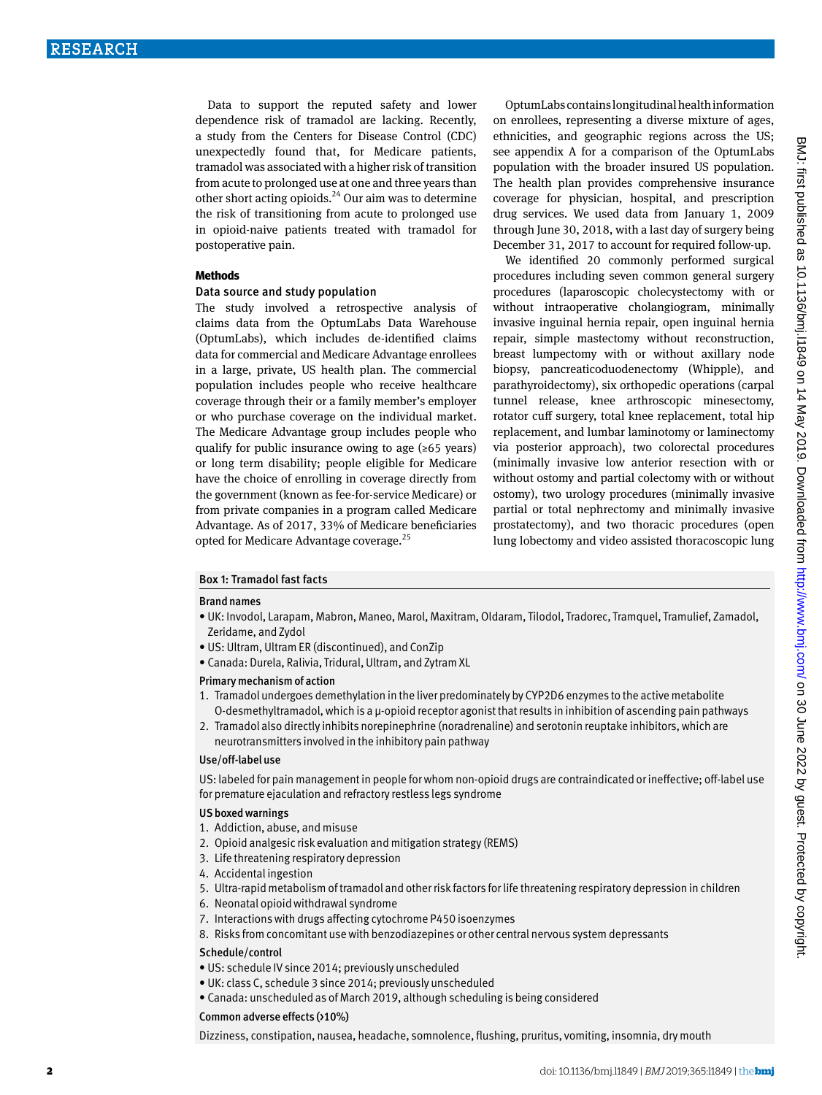Data to support the reputed safety and lower dependence risk of tramadol are lacking. Recently, a study from the Centers for Disease Control (CDC) unexpectedly found that, for Medicare patients, tramadol was associated with a higher risk of transition from acute to prolonged use at one and three years than other short acting opioids. $^{24}$  Our aim was to determine the risk of transitioning from acute to prolonged use in opioid-naive patients treated with tramadol for postoperative pain.

# **Methods**

#### Data source and study population

The study involved a retrospective analysis of claims data from the OptumLabs Data Warehouse (OptumLabs), which includes de-identified claims data for commercial and Medicare Advantage enrollees in a large, private, US health plan. The commercial population includes people who receive healthcare coverage through their or a family member's employer or who purchase coverage on the individual market. The Medicare Advantage group includes people who qualify for public insurance owing to age ( $\geq 65$  years) or long term disability; people eligible for Medicare have the choice of enrolling in coverage directly from the government (known as fee-for-service Medicare) or from private companies in a program called Medicare Advantage. As of 2017, 33% of Medicare beneficiaries opted for Medicare Advantage coverage.25

OptumLabs contains longitudinal health information on enrollees, representing a diverse mixture of ages, ethnicities, and geographic regions across the US; see appendix A for a comparison of the OptumLabs population with the broader insured US population. The health plan provides comprehensive insurance coverage for physician, hospital, and prescription drug services. We used data from January 1, 2009 through June 30, 2018, with a last day of surgery being December 31, 2017 to account for required follow-up.

We identified 20 commonly performed surgical procedures including seven common general surgery procedures (laparoscopic cholecystectomy with or without intraoperative cholangiogram, minimally invasive inguinal hernia repair, open inguinal hernia repair, simple mastectomy without reconstruction, breast lumpectomy with or without axillary node biopsy, pancreaticoduodenectomy (Whipple), and parathyroidectomy), six orthopedic operations (carpal tunnel release, knee arthroscopic minesectomy, rotator cuff surgery, total knee replacement, total hip replacement, and lumbar laminotomy or laminectomy via posterior approach), two colorectal procedures (minimally invasive low anterior resection with or without ostomy and partial colectomy with or without ostomy), two urology procedures (minimally invasive partial or total nephrectomy and minimally invasive prostatectomy), and two thoracic procedures (open lung lobectomy and video assisted thoracoscopic lung

# Box 1: Tramadol fast facts

#### Brand names

- • UK: Invodol, Larapam, Mabron, Maneo, Marol, Maxitram, Oldaram, Tilodol, Tradorec, Tramquel, Tramulief, Zamadol, Zeridame, and Zydol
- • US: Ultram, Ultram ER (discontinued), and ConZip
- • Canada: Durela, Ralivia, Tridural, Ultram, and Zytram XL

#### Primary mechanism of action

- 1. Tramadol undergoes demethylation in the liver predominately by CYP2D6 enzymes to the active metabolite O-desmethyltramadol, which is a μ-opioid receptor agonist that results in inhibition of ascending pain pathways
- 2. Tramadol also directly inhibits norepinephrine (noradrenaline) and serotonin reuptake inhibitors, which are neurotransmitters involved in the inhibitory pain pathway

#### Use/off-label use

US: labeled for pain management in people for whom non-opioid drugs are contraindicated or ineffective; off-label use for premature ejaculation and refractory restless legs syndrome

# US boxed warnings

- 1. Addiction, abuse, and misuse
- 2. Opioid analgesic risk evaluation and mitigation strategy (REMS)
- 3. Life threatening respiratory depression
- 4. Accidental ingestion
- 5. Ultra-rapid metabolism of tramadol and other risk factors for life threatening respiratory depression in children
- 6. Neonatal opioid withdrawal syndrome
- 7. Interactions with drugs affecting cytochrome P450 isoenzymes
- 8. Risks from concomitant use with benzodiazepines or other central nervous system depressants

# Schedule/control

- · US: schedule IV since 2014; previously unscheduled
- UK: class C, schedule 3 since 2014; previously unscheduled
- • Canada: unscheduled as of March 2019, although scheduling is being considered

# Common adverse effects (>10%)

Dizziness, constipation, nausea, headache, somnolence, flushing, pruritus, vomiting, insomnia, dry mouth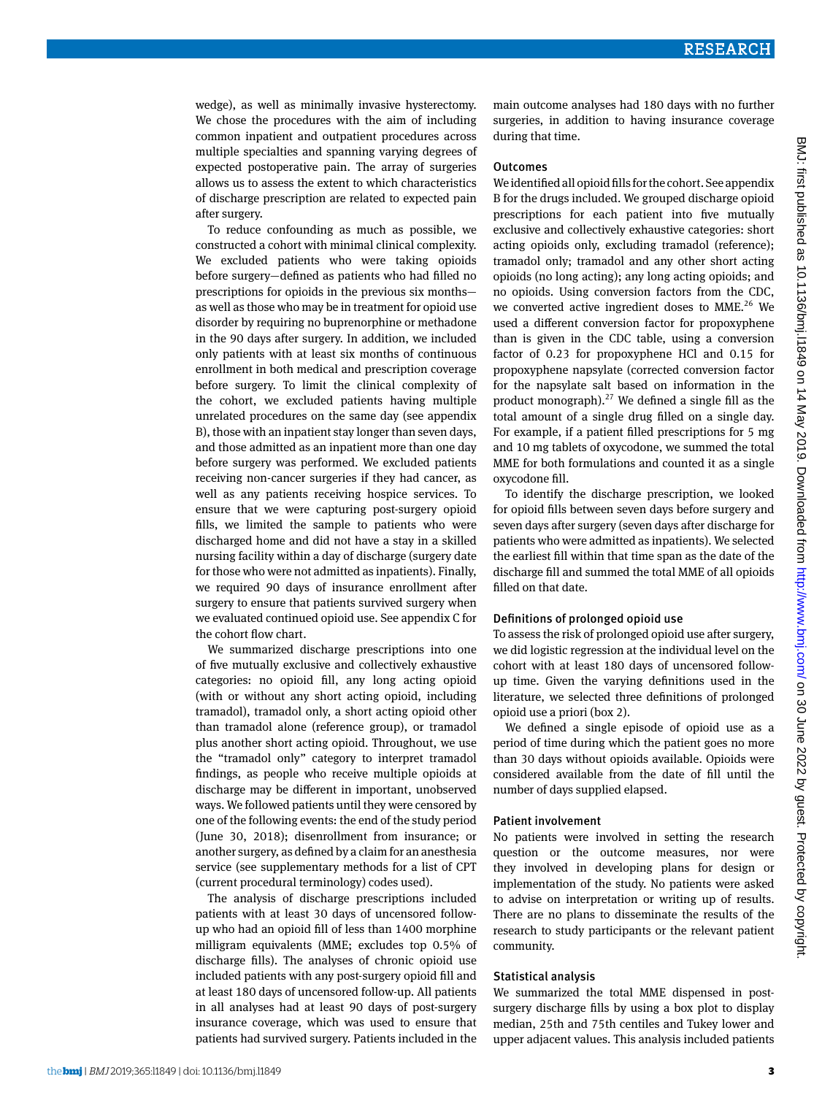wedge), as well as minimally invasive hysterectomy. We chose the procedures with the aim of including common inpatient and outpatient procedures across multiple specialties and spanning varying degrees of expected postoperative pain. The array of surgeries allows us to assess the extent to which characteristics of discharge prescription are related to expected pain after surgery.

To reduce confounding as much as possible, we constructed a cohort with minimal clinical complexity. We excluded patients who were taking opioids before surgery—defined as patients who had filled no prescriptions for opioids in the previous six months as well as those who may be in treatment for opioid use disorder by requiring no buprenorphine or methadone in the 90 days after surgery. In addition, we included only patients with at least six months of continuous enrollment in both medical and prescription coverage before surgery. To limit the clinical complexity of the cohort, we excluded patients having multiple unrelated procedures on the same day (see appendix B), those with an inpatient stay longer than seven days, and those admitted as an inpatient more than one day before surgery was performed. We excluded patients receiving non-cancer surgeries if they had cancer, as well as any patients receiving hospice services. To ensure that we were capturing post-surgery opioid fills, we limited the sample to patients who were discharged home and did not have a stay in a skilled nursing facility within a day of discharge (surgery date for those who were not admitted as inpatients). Finally, we required 90 days of insurance enrollment after surgery to ensure that patients survived surgery when we evaluated continued opioid use. See appendix C for the cohort flow chart.

We summarized discharge prescriptions into one of five mutually exclusive and collectively exhaustive categories: no opioid fill, any long acting opioid (with or without any short acting opioid, including tramadol), tramadol only, a short acting opioid other than tramadol alone (reference group), or tramadol plus another short acting opioid. Throughout, we use the "tramadol only" category to interpret tramadol findings, as people who receive multiple opioids at discharge may be different in important, unobserved ways. We followed patients until they were censored by one of the following events: the end of the study period (June 30, 2018); disenrollment from insurance; or another surgery, as defined by a claim for an anesthesia service (see supplementary methods for a list of CPT (current procedural terminology) codes used).

The analysis of discharge prescriptions included patients with at least 30 days of uncensored followup who had an opioid fill of less than 1400 morphine milligram equivalents (MME; excludes top 0.5% of discharge fills). The analyses of chronic opioid use included patients with any post-surgery opioid fill and at least 180 days of uncensored follow-up. All patients in all analyses had at least 90 days of post-surgery insurance coverage, which was used to ensure that patients had survived surgery. Patients included in the

main outcome analyses had 180 days with no further surgeries, in addition to having insurance coverage during that time.

#### **Outcomes**

We identified all opioid fills for the cohort. See appendix B for the drugs included. We grouped discharge opioid prescriptions for each patient into five mutually exclusive and collectively exhaustive categories: short acting opioids only, excluding tramadol (reference); tramadol only; tramadol and any other short acting opioids (no long acting); any long acting opioids; and no opioids. Using conversion factors from the CDC, we converted active ingredient doses to  $MME<sup>26</sup>$  We used a different conversion factor for propoxyphene than is given in the CDC table, using a conversion factor of 0.23 for propoxyphene HCl and 0.15 for propoxyphene napsylate (corrected conversion factor for the napsylate salt based on information in the product monograph).<sup>27</sup> We defined a single fill as the total amount of a single drug filled on a single day. For example, if a patient filled prescriptions for 5 mg and 10 mg tablets of oxycodone, we summed the total MME for both formulations and counted it as a single oxycodone fill.

To identify the discharge prescription, we looked for opioid fills between seven days before surgery and seven days after surgery (seven days after discharge for patients who were admitted as inpatients). We selected the earliest fill within that time span as the date of the discharge fill and summed the total MME of all opioids filled on that date.

# Definitions of prolonged opioid use

To assess the risk of prolonged opioid use after surgery, we did logistic regression at the individual level on the cohort with at least 180 days of uncensored followup time. Given the varying definitions used in the literature, we selected three definitions of prolonged opioid use a priori (box 2).

We defined a single episode of opioid use as a period of time during which the patient goes no more than 30 days without opioids available. Opioids were considered available from the date of fill until the number of days supplied elapsed.

# Patient involvement

No patients were involved in setting the research question or the outcome measures, nor were they involved in developing plans for design or implementation of the study. No patients were asked to advise on interpretation or writing up of results. There are no plans to disseminate the results of the research to study participants or the relevant patient community.

# Statistical analysis

We summarized the total MME dispensed in postsurgery discharge fills by using a box plot to display median, 25th and 75th centiles and Tukey lower and upper adjacent values. This analysis included patients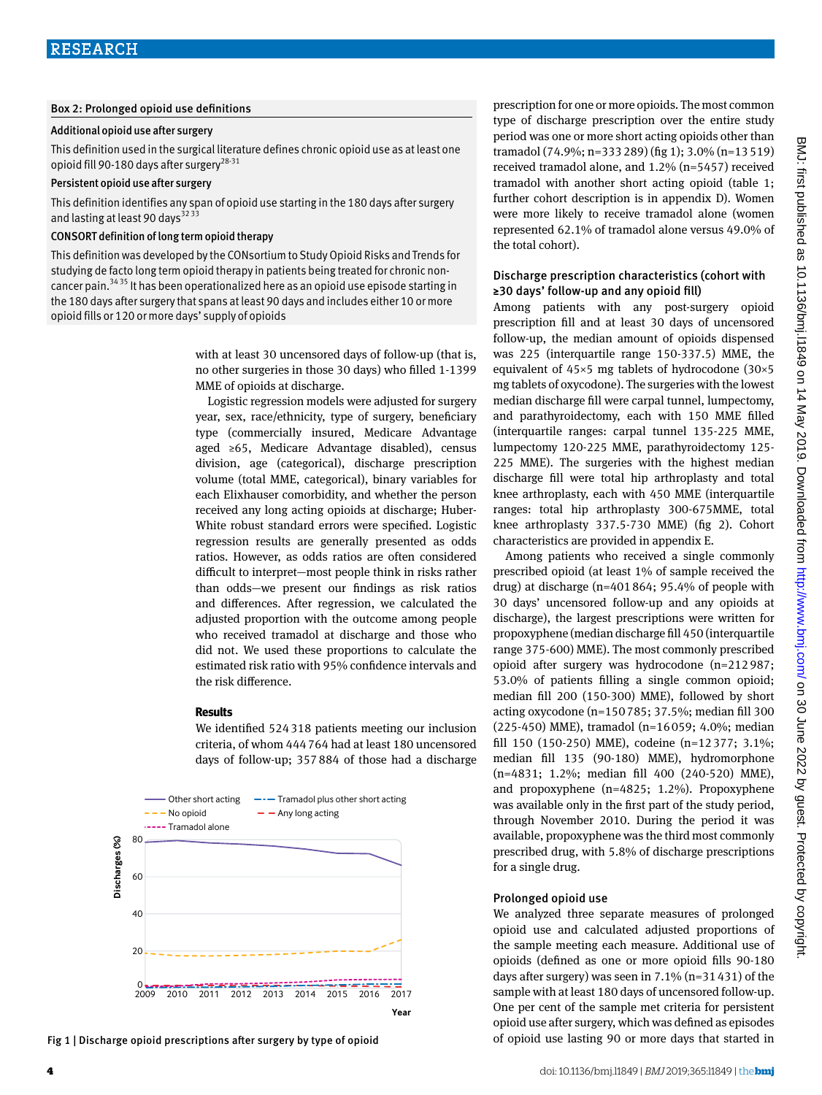# Box 2: Prolonged opioid use definitions

# Additional opioid use after surgery

This definition used in the surgical literature defines chronic opioid use as at least one opioid fill 90-180 days after surgery<sup>28-31</sup>

#### Persistent opioid use after surgery

This definition identifies any span of opioid use starting in the 180 days after surgery and lasting at least 90 days<sup>323</sup>

# CONSORT definition of long term opioid therapy

This definition was developed by the CONsortium to Study Opioid Risks and Trends for studying de facto long term opioid therapy in patients being treated for chronic noncancer pain.<sup>34 35</sup> It has been operationalized here as an opioid use episode starting in the 180 days after surgery that spans at least 90 days and includes either 10 or more opioid fills or 120 or more days' supply of opioids

> with at least 30 uncensored days of follow-up (that is, no other surgeries in those 30 days) who filled 1-1399 MME of opioids at discharge.

> Logistic regression models were adjusted for surgery year, sex, race/ethnicity, type of surgery, beneficiary type (commercially insured, Medicare Advantage aged ≥65, Medicare Advantage disabled), census division, age (categorical), discharge prescription volume (total MME, categorical), binary variables for each Elixhauser comorbidity, and whether the person received any long acting opioids at discharge; Huber-White robust standard errors were specified. Logistic regression results are generally presented as odds ratios. However, as odds ratios are often considered difficult to interpret—most people think in risks rather than odds—we present our findings as risk ratios and differences. After regression, we calculated the adjusted proportion with the outcome among people who received tramadol at discharge and those who did not. We used these proportions to calculate the estimated risk ratio with 95% confidence intervals and the risk difference.

#### **Results**

We identified 524318 patients meeting our inclusion criteria, of whom 444764 had at least 180 uncensored days of follow-up; 357884 of those had a discharge



Fig 1 | Discharge opioid prescriptions after surgery by type of opioid

prescription for one or more opioids. The most common type of discharge prescription over the entire study period was one or more short acting opioids other than tramadol (74.9%; n=333289) (fig 1); 3.0% (n=13519) received tramadol alone, and 1.2% (n=5457) received tramadol with another short acting opioid (table 1; further cohort description is in appendix D). Women were more likely to receive tramadol alone (women represented 62.1% of tramadol alone versus 49.0% of the total cohort).

# Discharge prescription characteristics (cohort with ≥30 days' follow-up and any opioid fill)

Among patients with any post-surgery opioid prescription fill and at least 30 days of uncensored follow-up, the median amount of opioids dispensed was 225 (interquartile range 150-337.5) MME, the equivalent of 45×5 mg tablets of hydrocodone (30×5 mg tablets of oxycodone). The surgeries with the lowest median discharge fill were carpal tunnel, lumpectomy, and parathyroidectomy, each with 150 MME filled (interquartile ranges: carpal tunnel 135-225 MME, lumpectomy 120-225 MME, parathyroidectomy 125- 225 MME). The surgeries with the highest median discharge fill were total hip arthroplasty and total knee arthroplasty, each with 450 MME (interquartile ranges: total hip arthroplasty 300-675MME, total knee arthroplasty 337.5-730 MME) (fig 2). Cohort characteristics are provided in appendix E.

Among patients who received a single commonly prescribed opioid (at least 1% of sample received the drug) at discharge (n=401864; 95.4% of people with 30 days' uncensored follow-up and any opioids at discharge), the largest prescriptions were written for propoxyphene (median discharge fill 450 (interquartile range 375-600) MME). The most commonly prescribed opioid after surgery was hydrocodone (n=212987; 53.0% of patients filling a single common opioid; median fill 200 (150-300) MME), followed by short acting oxycodone (n=150785; 37.5%; median fill 300 (225-450) MME), tramadol (n=16059; 4.0%; median fill 150 (150-250) MME), codeine (n=12377; 3.1%; median fill 135 (90-180) MME), hydromorphone (n=4831; 1.2%; median fill 400 (240-520) MME), and propoxyphene (n=4825; 1.2%). Propoxyphene was available only in the first part of the study period, through November 2010. During the period it was available, propoxyphene was the third most commonly prescribed drug, with 5.8% of discharge prescriptions for a single drug.

#### Prolonged opioid use

We analyzed three separate measures of prolonged opioid use and calculated adjusted proportions of the sample meeting each measure. Additional use of opioids (defined as one or more opioid fills 90-180 days after surgery) was seen in 7.1% (n=31431) of the sample with at least 180 days of uncensored follow-up. One per cent of the sample met criteria for persistent opioid use after surgery, which was defined as episodes of opioid use lasting 90 or more days that started in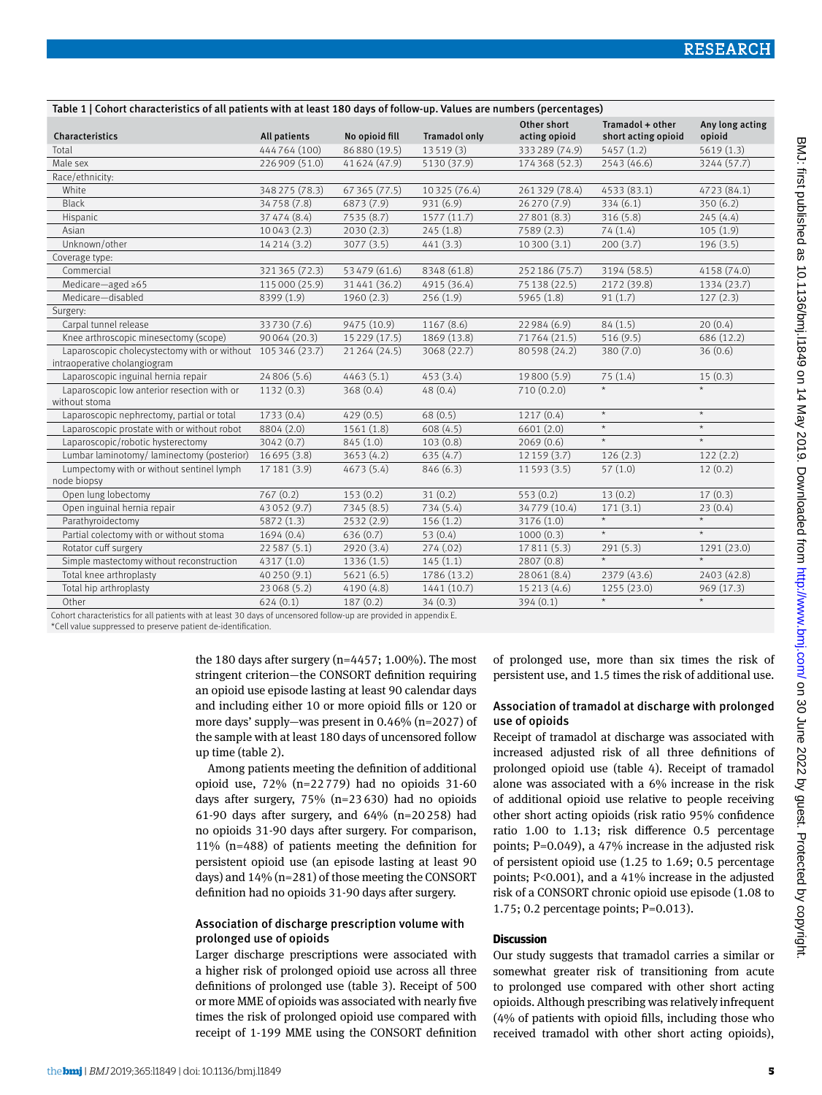| conon changers have on an patients mini at least 200 days or lonom appraiuses are nambers (percentages) |                |                |               | Other short   | Tramadol + other    | Any long acting    |
|---------------------------------------------------------------------------------------------------------|----------------|----------------|---------------|---------------|---------------------|--------------------|
| Characteristics                                                                                         | All patients   | No opioid fill | Tramadol only | acting opioid | short acting opioid | opioid             |
| Total                                                                                                   | 444764 (100)   | 86 880 (19.5)  | 13519(3)      | 333289 (74.9) | 5457(1.2)           | 5619(1.3)          |
| Male sex                                                                                                | 226 909 (51.0) | 41 624 (47.9)  | 5130 (37.9)   | 174368 (52.3) | 2543 (46.6)         | 3244 (57.7)        |
| Race/ethnicity:                                                                                         |                |                |               |               |                     |                    |
| White                                                                                                   | 348 275 (78.3) | 67 365 (77.5)  | 10 325 (76.4) | 261329 (78.4) | 4533 (83.1)         | 4723 (84.1)        |
| <b>Black</b>                                                                                            | 34758 (7.8)    | 6873 (7.9)     | 931 (6.9)     | 26 270 (7.9)  | 334(6.1)            | 350(6.2)           |
| Hispanic                                                                                                | 37 47 4 (8.4)  | 7535 (8.7)     | 1577 (11.7)   | 27 801 (8.3)  | 316(5.8)            | 245(4.4)           |
| Asian                                                                                                   | 10043(2.3)     | 2030(2.3)      | 245(1.8)      | 7589(2.3)     | 74(1.4)             | 105(1.9)           |
| Unknown/other                                                                                           | 14214 (3.2)    | 3077 (3.5)     | 441(3.3)      | 10 300 (3.1)  | 200(3.7)            | 196(3.5)           |
| Coverage type:                                                                                          |                |                |               |               |                     |                    |
| Commercial                                                                                              | 321365 (72.3)  | 53 479 (61.6)  | 8348 (61.8)   | 252186 (75.7) | 3194 (58.5)         | 4158 (74.0)        |
| Medicare-aged $\geq 65$                                                                                 | 115 000 (25.9) | 31441 (36.2)   | 4915 (36.4)   | 75 138 (22.5) | 2172 (39.8)         | 1334 (23.7)        |
| Medicare-disabled                                                                                       | 8399 (1.9)     | 1960(2.3)      | 256(1.9)      | 5965 (1.8)    | 91(1.7)             | 127(2.3)           |
| Surgery:                                                                                                |                |                |               |               |                     |                    |
| Carpal tunnel release                                                                                   | 33730 (7.6)    | 9475 (10.9)    | 1167 (8.6)    | 22 984 (6.9)  | 84(1.5)             | 20(0.4)            |
| Knee arthroscopic minesectomy (scope)                                                                   | 90064 (20.3)   | 15 229 (17.5)  | 1869 (13.8)   | 71764 (21.5)  | 516(9.5)            | 686 (12.2)         |
| Laparoscopic cholecystectomy with or without 105 346 (23.7)                                             |                | 21 264 (24.5)  | 3068 (22.7)   | 80 598 (24.2) | 380 (7.0)           | 36(0.6)            |
| intraoperative cholangiogram                                                                            |                |                |               |               |                     |                    |
| Laparoscopic inguinal hernia repair                                                                     | 24806 (5.6)    | 4463(5.1)      | 453(3.4)      | 19800 (5.9)   | 75(1.4)             | 15(0.3)            |
| Laparoscopic low anterior resection with or                                                             | 1132(0.3)      | 368(0.4)       | 48(0.4)       | 710(0.2.0)    | $\star$             | $\star$            |
| without stoma                                                                                           |                |                |               |               |                     |                    |
| Laparoscopic nephrectomy, partial or total                                                              | 1733 (0.4)     | 429(0.5)       | 68 (0.5)      | 1217(0.4)     | $\star$             | $\star$            |
| Laparoscopic prostate with or without robot                                                             | 8804 (2.0)     | 1561 (1.8)     | 608(4.5)      | 6601 (2.0)    | $^\star$            | $\star$            |
| Laparoscopic/robotic hysterectomy                                                                       | 3042(0.7)      | 845 (1.0)      | 103(0.8)      | 2069(0.6)     | $\star$             | $\star$            |
| Lumbar laminotomy/laminectomy (posterior)                                                               | 16695 (3.8)    | 3653 (4.2)     | 635(4.7)      | 12 159 (3.7)  | 126(2.3)            | 122(2.2)           |
| Lumpectomy with or without sentinel lymph                                                               | 17 181 (3.9)   | 4673 (5.4)     | 846(6.3)      | 11593 (3.5)   | 57(1.0)             | 12(0.2)            |
| node biopsy                                                                                             |                |                |               |               |                     |                    |
| Open lung lobectomy                                                                                     | 767(0.2)       | 153(0.2)       | 31(0.2)       | 553(0.2)      | 13(0.2)             | 17(0.3)            |
| Open inguinal hernia repair                                                                             | 43052 (9.7)    | 7345 (8.5)     | 734 (5.4)     | 34779 (10.4)  | 171(3.1)            | 23(0.4)            |
| Parathyroidectomy                                                                                       | 5872 (1.3)     | 2532(2.9)      | 156(1.2)      | 3176 (1.0)    | $\star$             | $\star$<br>$\star$ |
| Partial colectomy with or without stoma                                                                 | 1694(0.4)      | 636(0.7)       | 53(0.4)       | 1000(0.3)     | $^\star$            |                    |
| Rotator cuff surgery                                                                                    | 22587 (5.1)    | 2920 (3.4)     | 274(.02)      | 17811 (5.3)   | 291(5.3)            | 1291 (23.0)        |
| Simple mastectomy without reconstruction                                                                | 4317(1.0)      | 1336 (1.5)     | 145(1.1)      | 2807 (0.8)    | $\star$             | $\star$            |
| Total knee arthroplasty                                                                                 | 40250 (9.1)    | 5621(6.5)      | 1786 (13.2)   | 28 061 (8.4)  | 2379 (43.6)         | 2403 (42.8)        |
| Total hip arthroplasty                                                                                  | 23068 (5.2)    | 4190 (4.8)     | 1441 (10.7)   | 15 213 (4.6)  | 1255 (23.0)         | 969 (17.3)         |
| Other                                                                                                   | 624(0.1)       | 187(0.2)       | 34(0.3)       | 394(0.1)      | $\star$             | $\star$            |

Cohort characteristics for all patients with at least 30 days of uncensored follow-up are provided in appendix E.

\*Cell value suppressed to preserve patient de-identification.

the 180 days after surgery (n=4457; 1.00%). The most stringent criterion—the CONSORT definition requiring an opioid use episode lasting at least 90 calendar days and including either 10 or more opioid fills or 120 or more days' supply—was present in 0.46% (n=2027) of the sample with at least 180 days of uncensored follow up time (table 2).

Table 1 | Cohort characteristics of all patients with at least 180 days of follow-up. Values are numbers (percentages)

Among patients meeting the definition of additional opioid use, 72% (n=22779) had no opioids 31-60 days after surgery, 75% (n=23630) had no opioids 61-90 days after surgery, and 64% (n=20258) had no opioids 31-90 days after surgery. For comparison, 11% (n=488) of patients meeting the definition for persistent opioid use (an episode lasting at least 90 days) and 14% (n=281) of those meeting the CONSORT definition had no opioids 31-90 days after surgery.

# Association of discharge prescription volume with prolonged use of opioids

Larger discharge prescriptions were associated with a higher risk of prolonged opioid use across all three definitions of prolonged use (table 3). Receipt of 500 or more MME of opioids was associated with nearly five times the risk of prolonged opioid use compared with receipt of 1-199 MME using the CONSORT definition

of prolonged use, more than six times the risk of persistent use, and 1.5 times the risk of additional use.

# Association of tramadol at discharge with prolonged use of opioids

Receipt of tramadol at discharge was associated with increased adjusted risk of all three definitions of prolonged opioid use (table 4). Receipt of tramadol alone was associated with a 6% increase in the risk of additional opioid use relative to people receiving other short acting opioids (risk ratio 95% confidence ratio 1.00 to 1.13; risk difference 0.5 percentage points; P=0.049), a 47% increase in the adjusted risk of persistent opioid use (1.25 to 1.69; 0.5 percentage points; P<0.001), and a 41% increase in the adjusted risk of a CONSORT chronic opioid use episode (1.08 to 1.75; 0.2 percentage points; P=0.013).

# **Discussion**

Our study suggests that tramadol carries a similar or somewhat greater risk of transitioning from acute to prolonged use compared with other short acting opioids. Although prescribing was relatively infrequent (4% of patients with opioid fills, including those who received tramadol with other short acting opioids),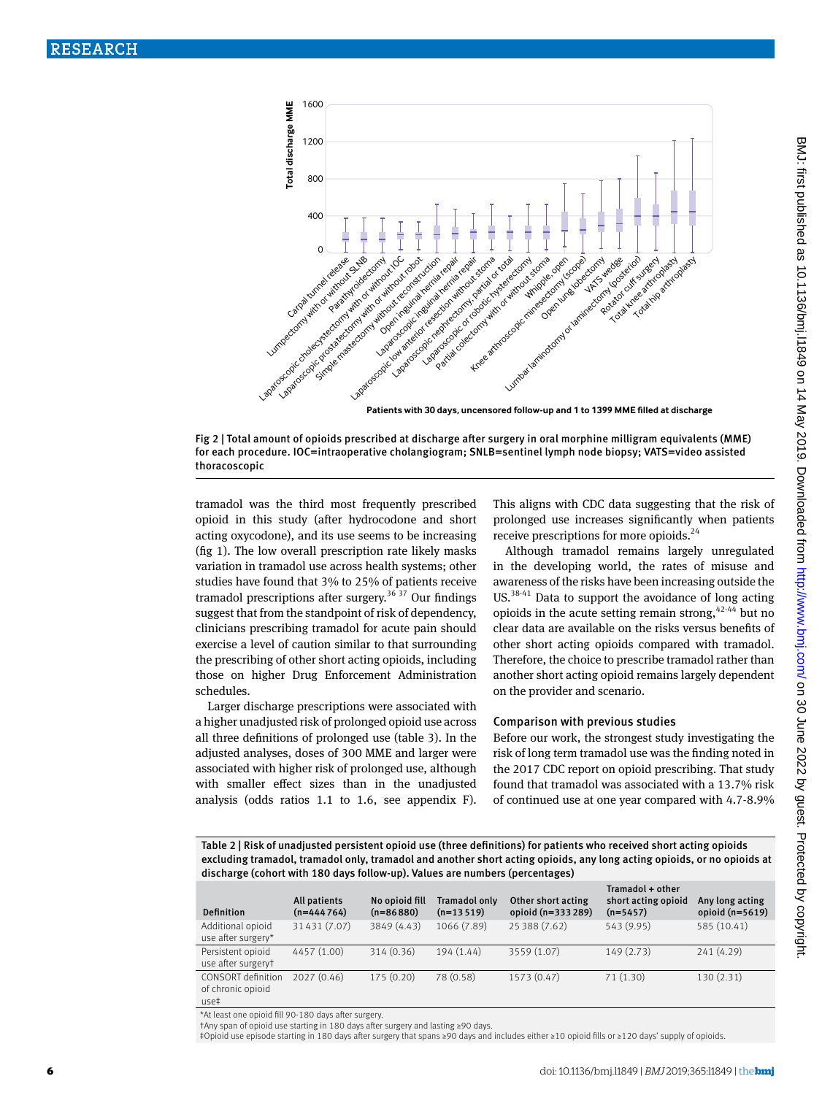

**Patients with 30 days, uncensored follow-up and 1 to 1399 MME filled at discharge**



tramadol was the third most frequently prescribed opioid in this study (after hydrocodone and short acting oxycodone), and its use seems to be increasing (fig 1). The low overall prescription rate likely masks variation in tramadol use across health systems; other studies have found that 3% to 25% of patients receive tramadol prescriptions after surgery.<sup>36 37</sup> Our findings suggest that from the standpoint of risk of dependency, clinicians prescribing tramadol for acute pain should exercise a level of caution similar to that surrounding the prescribing of other short acting opioids, including those on higher Drug Enforcement Administration schedules.

Larger discharge prescriptions were associated with a higher unadjusted risk of prolonged opioid use across all three definitions of prolonged use (table 3). In the adjusted analyses, doses of 300 MME and larger were associated with higher risk of prolonged use, although with smaller effect sizes than in the unadjusted analysis (odds ratios 1.1 to 1.6, see appendix F). This aligns with CDC data suggesting that the risk of prolonged use increases significantly when patients receive prescriptions for more opioids.<sup>24</sup>

Although tramadol remains largely unregulated in the developing world, the rates of misuse and awareness of the risks have been increasing outside the US.38-41 Data to support the avoidance of long acting opioids in the acute setting remain strong,  $42-44$  but no clear data are available on the risks versus benefits of other short acting opioids compared with tramadol. Therefore, the choice to prescribe tramadol rather than another short acting opioid remains largely dependent on the provider and scenario.

#### Comparison with previous studies

Before our work, the strongest study investigating the risk of long term tramadol use was the finding noted in the 2017 CDC report on opioid prescribing. That study found that tramadol was associated with a 13.7% risk of continued use at one year compared with 4.7-8.9%

Table 2 | Risk of unadjusted persistent opioid use (three definitions) for patients who received short acting opioids excluding tramadol, tramadol only, tramadol and another short acting opioids, any long acting opioids, or no opioids at discharge (cohort with 180 days follow-up). Values are numbers (percentages)

| <b>Definition</b>                                      | All patients<br>$(n=444764)$ | No opioid fill<br>$(n=86 880)$ | Tramadol only<br>$(n=13519)$ | Other short acting<br>opioid (n=333 289) | Tramadol + other<br>short acting opioid<br>$(n=5457)$ | Any long acting<br>opioid $(n=5619)$ |
|--------------------------------------------------------|------------------------------|--------------------------------|------------------------------|------------------------------------------|-------------------------------------------------------|--------------------------------------|
| Additional opioid<br>use after surgery*                | 31431 (7.07)                 | 3849 (4.43)                    | 1066 (7.89)                  | 25 388 (7.62)                            | 543 (9.95)                                            | 585 (10.41)                          |
| Persistent opioid<br>use after surgeryt                | 4457 (1.00)                  | 314(0.36)                      | 194 (1.44)                   | 3559 (1.07)                              | 149(2.73)                                             | 241(4.29)                            |
| <b>CONSORT</b> definition<br>of chronic opioid<br>use‡ | 2027(0.46)                   | 175(0.20)                      | 78 (0.58)                    | 1573 (0.47)                              | 71(1.30)                                              | 130(2.31)                            |

\*At least one opioid fill 90-180 days after surgery.

†Any span of opioid use starting in 180 days after surgery and lasting ≥90 days.

‡Opioid use episode starting in 180 days after surgery that spans ≥90 days and includes either ≥10 opioid fills or ≥120 days' supply of opioids.

BMJ: first published as 10.1136/bmj.11849 on 14 May 2019. Downloaded from <http://www.bmj.com/> on 30 June 2022 by guest. Protected by copyright.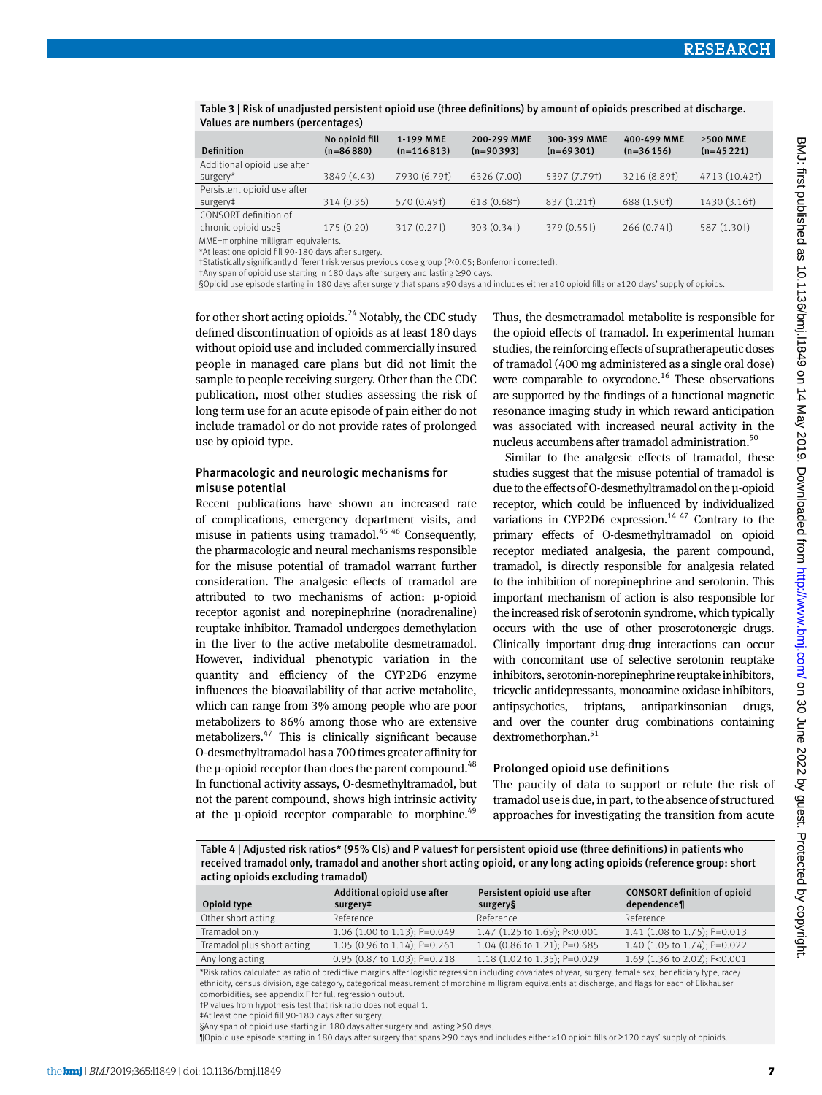| Values are numbers (percentages)             |                               |                           |                            |                            |                            |                               |
|----------------------------------------------|-------------------------------|---------------------------|----------------------------|----------------------------|----------------------------|-------------------------------|
| Definition                                   | No opioid fill<br>$(n=86880)$ | 1-199 MME<br>$(n=116813)$ | 200-299 MME<br>$(n=90393)$ | 300-399 MME<br>$(n=69301)$ | 400-499 MME<br>$(n=36156)$ | $\geq$ 500 MME<br>$(n=45221)$ |
| Additional opioid use after<br>surgery*      | 3849 (4.43)                   | 7930 (6.79†)              | 6326 (7.00)                | 5397 (7.791)               | 3216 (8.89†)               | 4713 (10.421)                 |
| Persistent opioid use after<br>surgery‡      | 314 (0.36)                    | 570 (0.49†)               | 618 (0.68†)                | 837 (1.21†)                | 688 (1.90†)                | 1430 (3.16†)                  |
| CONSORT definition of<br>chronic opioid use§ | 175(0.20)                     | 317 (0.27†)               | 303 (0.34†)                | 379 (0.55†)                | 266(0.74 <sup>†</sup> )    | 587 (1.30†)                   |

Table 3 | Risk of unadjusted persistent opioid use (three definitions) by amount of opioids prescribed at discharge.

\*At least one opioid fill 90-180 days after surgery.

MME=morphine milligram equivalents.

†Statistically significantly different risk versus previous dose group (P<0.05; Bonferroni corrected).

‡Any span of opioid use starting in 180 days after surgery and lasting ≥90 days.

§Opioid use episode starting in 180 days after surgery that spans ≥90 days and includes either ≥10 opioid fills or ≥120 days' supply of opioids.

for other short acting opioids.<sup>24</sup> Notably, the CDC study defined discontinuation of opioids as at least 180 days without opioid use and included commercially insured people in managed care plans but did not limit the sample to people receiving surgery. Other than the CDC publication, most other studies assessing the risk of long term use for an acute episode of pain either do not include tramadol or do not provide rates of prolonged use by opioid type.

# Pharmacologic and neurologic mechanisms for misuse potential

Recent publications have shown an increased rate of complications, emergency department visits, and misuse in patients using tramadol.<sup>45 46</sup> Consequently, the pharmacologic and neural mechanisms responsible for the misuse potential of tramadol warrant further consideration. The analgesic effects of tramadol are attributed to two mechanisms of action: μ-opioid receptor agonist and norepinephrine (noradrenaline) reuptake inhibitor. Tramadol undergoes demethylation in the liver to the active metabolite desmetramadol. However, individual phenotypic variation in the quantity and efficiency of the CYP2D6 enzyme influences the bioavailability of that active metabolite, which can range from 3% among people who are poor metabolizers to 86% among those who are extensive metabolizers.47 This is clinically significant because O-desmethyltramadol has a 700 times greater affinity for the  $\mu$ -opioid receptor than does the parent compound.<sup>48</sup> In functional activity assays, O-desmethyltramadol, but not the parent compound, shows high intrinsic activity at the  $\mu$ -opioid receptor comparable to morphine.<sup>49</sup>

Thus, the desmetramadol metabolite is responsible for the opioid effects of tramadol. In experimental human studies, the reinforcing effects of supratherapeutic doses of tramadol (400 mg administered as a single oral dose) were comparable to oxycodone.<sup>16</sup> These observations are supported by the findings of a functional magnetic resonance imaging study in which reward anticipation was associated with increased neural activity in the nucleus accumbens after tramadol administration.<sup>50</sup>

Similar to the analgesic effects of tramadol, these studies suggest that the misuse potential of tramadol is due to the effects of O-desmethyltramadol on the μ-opioid receptor, which could be influenced by individualized variations in CYP2D6 expression.<sup>14 47</sup> Contrary to the primary effects of O-desmethyltramadol on opioid receptor mediated analgesia, the parent compound, tramadol, is directly responsible for analgesia related to the inhibition of norepinephrine and serotonin. This important mechanism of action is also responsible for the increased risk of serotonin syndrome, which typically occurs with the use of other proserotonergic drugs. Clinically important drug-drug interactions can occur with concomitant use of selective serotonin reuptake inhibitors, serotonin-norepinephrine reuptake inhibitors, tricyclic antidepressants, monoamine oxidase inhibitors, antipsychotics, triptans, antiparkinsonian drugs, and over the counter drug combinations containing dextromethorphan.<sup>51</sup>

# Prolonged opioid use definitions

The paucity of data to support or refute the risk of tramadol use is due, in part, to the absence of structured approaches for investigating the transition from acute

Table 4 | Adjusted risk ratios\* (95% CIs) and P values† for persistent opioid use (three definitions) in patients who received tramadol only, tramadol and another short acting opioid, or any long acting opioids (reference group: short acting opioids excluding tramadol)

| Opioid type                | Additional opioid use after<br>surgery# | Persistent opioid use after<br>surgery§ | <b>CONSORT definition of opioid</b><br>dependence¶ |
|----------------------------|-----------------------------------------|-----------------------------------------|----------------------------------------------------|
| Other short acting         | Reference                               | Reference                               | Reference                                          |
| Tramadol only              | 1.06 (1.00 to 1.13); P=0.049            | 1.47 (1.25 to 1.69); P<0.001            | 1.41 (1.08 to 1.75); P=0.013                       |
| Tramadol plus short acting | 1.05 (0.96 to 1.14); P=0.261            | 1.04 (0.86 to 1.21); P=0.685            | 1.40 (1.05 to 1.74); P=0.022                       |
| Any long acting            | 0.95 (0.87 to 1.03); P=0.218            | 1.18 (1.02 to 1.35); P=0.029            | 1.69 (1.36 to 2.02); P<0.001                       |

\*Risk ratios calculated as ratio of predictive margins after logistic regression including covariates of year, surgery, female sex, beneficiary type, race/ ethnicity, census division, age category, categorical measurement of morphine milligram equivalents at discharge, and flags for each of Elixhauser comorbidities; see appendix F for full regression output.

†P values from hypothesis test that risk ratio does not equal 1.

‡At least one opioid fill 90-180 days after surgery.

§Any span of opioid use starting in 180 days after surgery and lasting ≥90 days.

¶Opioid use episode starting in 180 days after surgery that spans ≥90 days and includes either ≥10 opioid fills or ≥120 days' supply of opioids.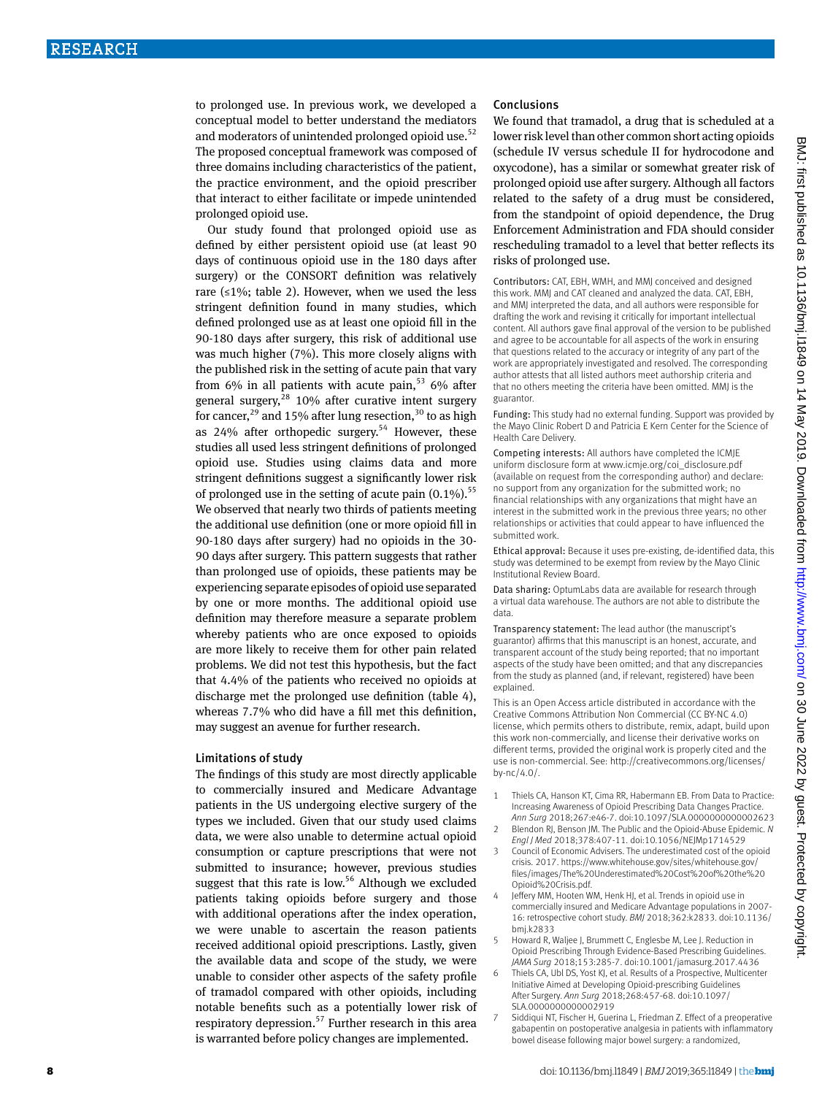to prolonged use. In previous work, we developed a conceptual model to better understand the mediators and moderators of unintended prolonged opioid use.<sup>52</sup> The proposed conceptual framework was composed of three domains including characteristics of the patient, the practice environment, and the opioid prescriber that interact to either facilitate or impede unintended prolonged opioid use.

Our study found that prolonged opioid use as defined by either persistent opioid use (at least 90 days of continuous opioid use in the 180 days after surgery) or the CONSORT definition was relatively rare  $(≤1%;$  table 2). However, when we used the less stringent definition found in many studies, which defined prolonged use as at least one opioid fill in the 90-180 days after surgery, this risk of additional use was much higher (7%). This more closely aligns with the published risk in the setting of acute pain that vary from  $6\%$  in all patients with acute pain,<sup>53</sup>  $6\%$  after general surgery,  $28$  10% after curative intent surgery for cancer,  $29$  and 15% after lung resection,  $30$  to as high as  $24\%$  after orthopedic surgery.<sup>54</sup> However, these studies all used less stringent definitions of prolonged opioid use. Studies using claims data and more stringent definitions suggest a significantly lower risk of prolonged use in the setting of acute pain  $(0.1\%)$ .<sup>55</sup> We observed that nearly two thirds of patients meeting the additional use definition (one or more opioid fill in 90-180 days after surgery) had no opioids in the 30- 90 days after surgery. This pattern suggests that rather than prolonged use of opioids, these patients may be experiencing separate episodes of opioid use separated by one or more months. The additional opioid use definition may therefore measure a separate problem whereby patients who are once exposed to opioids are more likely to receive them for other pain related problems. We did not test this hypothesis, but the fact that 4.4% of the patients who received no opioids at discharge met the prolonged use definition (table 4), whereas 7.7% who did have a fill met this definition, may suggest an avenue for further research.

#### Limitations of study

The findings of this study are most directly applicable to commercially insured and Medicare Advantage patients in the US undergoing elective surgery of the types we included. Given that our study used claims data, we were also unable to determine actual opioid consumption or capture prescriptions that were not submitted to insurance; however, previous studies suggest that this rate is low.<sup>56</sup> Although we excluded patients taking opioids before surgery and those with additional operations after the index operation, we were unable to ascertain the reason patients received additional opioid prescriptions. Lastly, given the available data and scope of the study, we were unable to consider other aspects of the safety profile of tramadol compared with other opioids, including notable benefits such as a potentially lower risk of respiratory depression.<sup>57</sup> Further research in this area is warranted before policy changes are implemented.

# Conclusions

We found that tramadol, a drug that is scheduled at a lower risk level than other common short acting opioids (schedule IV versus schedule II for hydrocodone and oxycodone), has a similar or somewhat greater risk of prolonged opioid use after surgery. Although all factors related to the safety of a drug must be considered, from the standpoint of opioid dependence, the Drug Enforcement Administration and FDA should consider rescheduling tramadol to a level that better reflects its risks of prolonged use.

Contributors: CAT, EBH, WMH, and MMJ conceived and designed this work. MMJ and CAT cleaned and analyzed the data. CAT, EBH, and MMJ interpreted the data, and all authors were responsible for drafting the work and revising it critically for important intellectual content. All authors gave final approval of the version to be published and agree to be accountable for all aspects of the work in ensuring that questions related to the accuracy or integrity of any part of the work are appropriately investigated and resolved. The corresponding author attests that all listed authors meet authorship criteria and that no others meeting the criteria have been omitted. MMJ is the guarantor.

Funding: This study had no external funding. Support was provided by the Mayo Clinic Robert D and Patricia E Kern Center for the Science of Health Care Delivery.

Competing interests: All authors have completed the ICMJE uniform disclosure form at [www.icmje.org/coi\\_disclosure.pdf](http://www.icmje.org/coi_disclosure.pdf) (available on request from the corresponding author) and declare: no support from any organization for the submitted work; no financial relationships with any organizations that might have an interest in the submitted work in the previous three years; no other relationships or activities that could appear to have influenced the submitted work.

Ethical approval: Because it uses pre-existing, de-identified data, this study was determined to be exempt from review by the Mayo Clinic Institutional Review Board.

Data sharing: OptumLabs data are available for research through a virtual data warehouse. The authors are not able to distribute the data.

Transparency statement: The lead author (the manuscript's guarantor) affirms that this manuscript is an honest, accurate, and transparent account of the study being reported; that no important aspects of the study have been omitted; and that any discrepancies from the study as planned (and, if relevant, registered) have been explained.

This is an Open Access article distributed in accordance with the Creative Commons Attribution Non Commercial (CC BY-NC 4.0) license, which permits others to distribute, remix, adapt, build upon this work non-commercially, and license their derivative works on different terms, provided the original work is properly cited and the use is non-commercial. See: [http://creativecommons.org/licenses/](http://creativecommons.org/licenses/by-nc/4.0/) [by-nc/4.0/.](http://creativecommons.org/licenses/by-nc/4.0/)

- 1 Thiels CA, Hanson KT, Cima RR, Habermann EB. From Data to Practice: Increasing Awareness of Opioid Prescribing Data Changes Practice. *Ann Surg* 2018;267:e46-7. doi:10.1097/SLA.0000000000002623
- 2 Blendon RJ, Benson JM. The Public and the Opioid-Abuse Epidemic. *N Engl J Med* 2018;378:407-11. doi:10.1056/NEJMp1714529
- 3 Council of Economic Advisers. The underestimated cost of the opioid crisis. 2017. [https://www.whitehouse.gov/sites/whitehouse.gov/](https://www.whitehouse.gov/sites/whitehouse.gov/files/images/The%20Underestimated%20Cost%20of%20the%20Opioid%20Crisis.pdf) [files/images/The%20Underestimated%20Cost%20of%20the%20](https://www.whitehouse.gov/sites/whitehouse.gov/files/images/The%20Underestimated%20Cost%20of%20the%20Opioid%20Crisis.pdf) [Opioid%20Crisis.pdf.](https://www.whitehouse.gov/sites/whitehouse.gov/files/images/The%20Underestimated%20Cost%20of%20the%20Opioid%20Crisis.pdf)
- 4 Jeffery MM, Hooten WM, Henk HJ, et al. Trends in opioid use in commercially insured and Medicare Advantage populations in 2007- 16: retrospective cohort study. *BMJ* 2018;362:k2833. doi:10.1136/ bmj.k2833
- Howard R, Waljee J, Brummett C, Englesbe M, Lee J. Reduction in Opioid Prescribing Through Evidence-Based Prescribing Guidelines. *JAMA Surg* 2018;153:285-7. doi:10.1001/jamasurg.2017.4436
- Thiels CA, Ubl DS, Yost KJ, et al. Results of a Prospective, Multicenter Initiative Aimed at Developing Opioid-prescribing Guidelines After Surgery. *Ann Surg* 2018;268:457-68. doi:10.1097/ SLA.0000000000002919
- Siddiqui NT, Fischer H, Guerina L, Friedman Z. Effect of a preoperative gabapentin on postoperative analgesia in patients with inflammatory bowel disease following major bowel surgery: a randomized,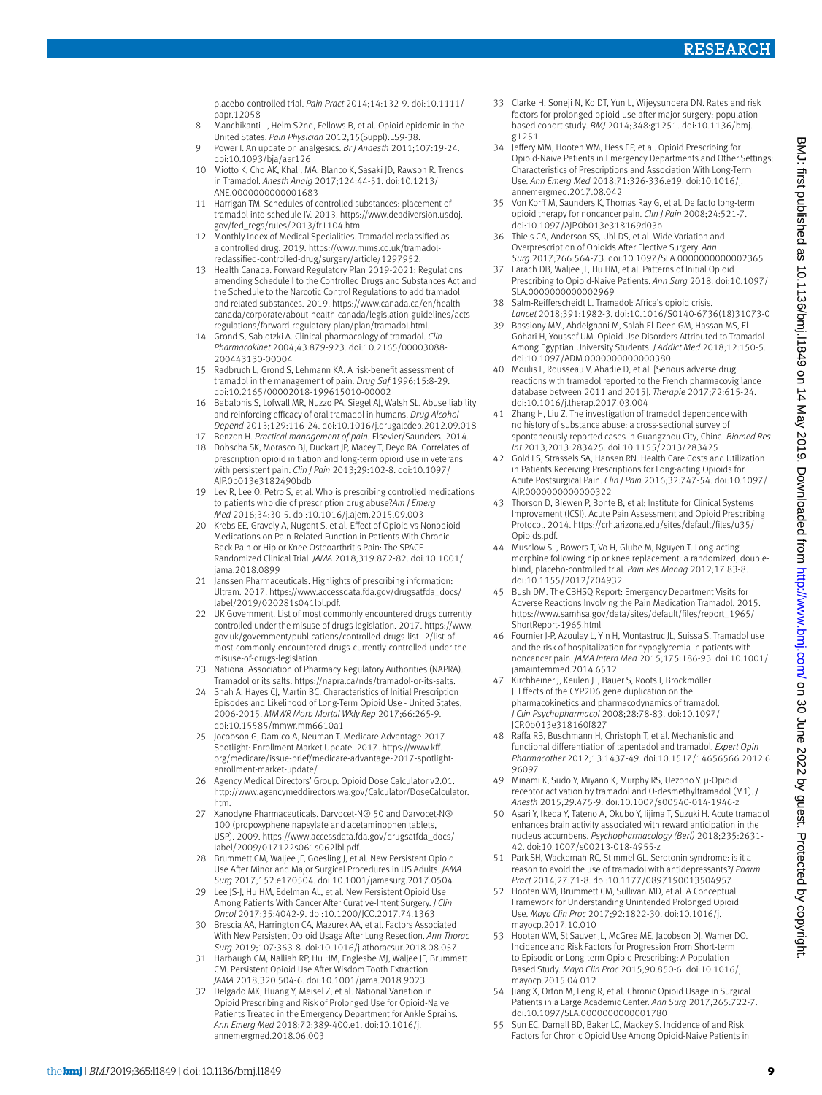placebo-controlled trial. *Pain Pract* 2014;14:132-9. doi:10.1111/ papr.12058

- 8 Manchikanti L, Helm S2nd, Fellows B, et al. Opioid epidemic in the United States. *Pain Physician* 2012;15(Suppl):ES9-38.
- 9 Power I. An update on analgesics. *Br J Anaesth* 2011;107:19-24. doi:10.1093/bja/aer126
- 10 Miotto K, Cho AK, Khalil MA, Blanco K, Sasaki JD, Rawson R. Trends in Tramadol. *Anesth Analg* 2017;124:44-51. doi:10.1213/ ANE.0000000000001683
- 11 Harrigan TM. Schedules of controlled substances: placement of tramadol into schedule IV. 2013. [https://www.deadiversion.usdoj.](https://www.deadiversion.usdoj.gov/fed_regs/rules/2013/fr1104.htm) [gov/fed\\_regs/rules/2013/fr1104.htm](https://www.deadiversion.usdoj.gov/fed_regs/rules/2013/fr1104.htm).
- 12 Monthly Index of Medical Specialities. Tramadol reclassified as a controlled drug. 2019. [https://www.mims.co.uk/tramadol](https://www.mims.co.uk/tramadol-reclassified-controlled-drug/surgery/article/1297952)[reclassified-controlled-drug/surgery/article/1297952.](https://www.mims.co.uk/tramadol-reclassified-controlled-drug/surgery/article/1297952)
- 13 Health Canada. Forward Regulatory Plan 2019-2021: Regulations amending Schedule I to the Controlled Drugs and Substances Act and the Schedule to the Narcotic Control Regulations to add tramadol and related substances. 2019. [https://www.canada.ca/en/health](https://www.canada.ca/en/health-canada/corporate/about-health-canada/legislation-guidelines/acts-regulations/forward-regulatory-plan/plan/tramadol.html)[canada/corporate/about-health-canada/legislation-guidelines/acts](https://www.canada.ca/en/health-canada/corporate/about-health-canada/legislation-guidelines/acts-regulations/forward-regulatory-plan/plan/tramadol.html)[regulations/forward-regulatory-plan/plan/tramadol.html.](https://www.canada.ca/en/health-canada/corporate/about-health-canada/legislation-guidelines/acts-regulations/forward-regulatory-plan/plan/tramadol.html)
- 14 Grond S, Sablotzki A. Clinical pharmacology of tramadol. *Clin Pharmacokinet* 2004;43:879-923. doi:10.2165/00003088- 200443130-00004
- 15 Radbruch L, Grond S, Lehmann KA. A risk-benefit assessment of tramadol in the management of pain. *Drug Saf* 1996;15:8-29. doi:10.2165/00002018-199615010-00002
- 16 Babalonis S, Lofwall MR, Nuzzo PA, Siegel AJ, Walsh SL. Abuse liability and reinforcing efficacy of oral tramadol in humans. *Drug Alcohol Depend* 2013;129:116-24. doi:10.1016/j.drugalcdep.2012.09.018
- 17 Benzon H. *Practical management of pain.* Elsevier/Saunders, 2014. 18 Dobscha SK, Morasco BJ, Duckart JP, Macey T, Deyo RA. Correlates of
- prescription opioid initiation and long-term opioid use in veterans with persistent pain. *Clin J Pain* 2013;29:102-8. doi:10.1097/ AJP.0b013e3182490bdb
- 19 Lev R, Lee O, Petro S, et al. Who is prescribing controlled medications to patients who die of prescription drug abuse?*Am J Emerg Med* 2016;34:30-5. doi:10.1016/j.ajem.2015.09.003
- 20 Krebs EE, Gravely A, Nugent S, et al. Effect of Opioid vs Nonopioid Medications on Pain-Related Function in Patients With Chronic Back Pain or Hip or Knee Osteoarthritis Pain: The SPACE Randomized Clinical Trial. *JAMA* 2018;319:872-82. doi:10.1001/ jama.2018.0899
- 21 Janssen Pharmaceuticals. Highlights of prescribing information: Ultram. 2017. [https://www.accessdata.fda.gov/drugsatfda\\_docs/](https://www.accessdata.fda.gov/drugsatfda_docs/label/2019/020281s041lbl.pdf) [label/2019/020281s041lbl.pdf](https://www.accessdata.fda.gov/drugsatfda_docs/label/2019/020281s041lbl.pdf).
- 22 LIK Government. List of most commonly encountered drugs currently controlled under the misuse of drugs legislation. 2017. [https://www.](https://www.gov.uk/government/publications/controlled-drugs-list--2/list-of-most-commonly-encountered-drugs-currently-controlled-under-the-misuse-of-drugs-legislation) [gov.uk/government/publications/controlled-drugs-list--2/list-of](https://www.gov.uk/government/publications/controlled-drugs-list--2/list-of-most-commonly-encountered-drugs-currently-controlled-under-the-misuse-of-drugs-legislation)[most-commonly-encountered-drugs-currently-controlled-under-the](https://www.gov.uk/government/publications/controlled-drugs-list--2/list-of-most-commonly-encountered-drugs-currently-controlled-under-the-misuse-of-drugs-legislation)[misuse-of-drugs-legislation](https://www.gov.uk/government/publications/controlled-drugs-list--2/list-of-most-commonly-encountered-drugs-currently-controlled-under-the-misuse-of-drugs-legislation).
- 23 National Association of Pharmacy Regulatory Authorities (NAPRA). Tramadol or its salts. [https://napra.ca/nds/tramadol-or-its-salts.](https://napra.ca/nds/tramadol-or-its-salts)
- 24 Shah A, Hayes CJ, Martin BC. Characteristics of Initial Prescription Episodes and Likelihood of Long-Term Opioid Use - United States, 2006-2015. *MMWR Morb Mortal Wkly Rep* 2017;66:265-9. doi:10.15585/mmwr.mm6610a1
- 25 Jocobson G, Damico A, Neuman T. Medicare Advantage 2017 Spotlight: Enrollment Market Update. 2017. [https://www.kff.](https://www.kff.org/medicare/issue-brief/medicare-advantage-2017-spotlight-enrollment-market-update/) [org/medicare/issue-brief/medicare-advantage-2017-spotlight](https://www.kff.org/medicare/issue-brief/medicare-advantage-2017-spotlight-enrollment-market-update/)[enrollment-market-update/](https://www.kff.org/medicare/issue-brief/medicare-advantage-2017-spotlight-enrollment-market-update/)
- 26 Agency Medical Directors' Group. Opioid Dose Calculator v2.01. [http://www.agencymeddirectors.wa.gov/Calculator/DoseCalculator.](http://www.agencymeddirectors.wa.gov/Calculator/DoseCalculator.htm) [htm](http://www.agencymeddirectors.wa.gov/Calculator/DoseCalculator.htm).
- 27 Xanodyne Pharmaceuticals. Darvocet-N® 50 and Darvocet-N® 100 (propoxyphene napsylate and acetaminophen tablets, USP). 2009. [https://www.accessdata.fda.gov/drugsatfda\\_docs/](https://www.accessdata.fda.gov/drugsatfda_docs/label/2009/017122s061s062lbl.pdf) [label/2009/017122s061s062lbl.pdf](https://www.accessdata.fda.gov/drugsatfda_docs/label/2009/017122s061s062lbl.pdf).
- 28 Brummett CM, Waljee JF, Goesling J, et al. New Persistent Opioid Use After Minor and Major Surgical Procedures in US Adults. *JAMA Surg* 2017;152:e170504. doi:10.1001/jamasurg.2017.0504
- 29 Lee JS-J, Hu HM, Edelman AL, et al. New Persistent Opioid Use Among Patients With Cancer After Curative-Intent Surgery. *J Clin Oncol* 2017;35:4042-9. doi:10.1200/JCO.2017.74.1363
- 30 Brescia AA, Harrington CA, Mazurek AA, et al. Factors Associated With New Persistent Opioid Usage After Lung Resection. *Ann Thorac Surg* 2019;107:363-8. doi:10.1016/j.athoracsur.2018.08.057
- 31 Harbaugh CM, Nalliah RP, Hu HM, Englesbe MJ, Waljee JF, Brummett CM. Persistent Opioid Use After Wisdom Tooth Extraction. *JAMA* 2018;320:504-6. doi:10.1001/jama.2018.9023
- 32 Delgado MK, Huang Y, Meisel Z, et al. National Variation in Opioid Prescribing and Risk of Prolonged Use for Opioid-Naive Patients Treated in the Emergency Department for Ankle Sprains. *Ann Emerg Med* 2018;72:389-400.e1. doi:10.1016/j. annemergmed.2018.06.003
- 33 Clarke H, Soneji N, Ko DT, Yun L, Wijeysundera DN. Rates and risk factors for prolonged opioid use after major surgery: population based cohort study. *BMJ* 2014;348:g1251. doi:10.1136/bmj. g1251
- 34 Jeffery MM, Hooten WM, Hess EP, et al. Opioid Prescribing for Opioid-Naive Patients in Emergency Departments and Other Settings: Characteristics of Prescriptions and Association With Long-Term Use. *Ann Emerg Med* 2018;71:326-336.e19. doi:10.1016/j. annemergmed.2017.08.042
- Von Korff M, Saunders K, Thomas Ray G, et al. De facto long-term opioid therapy for noncancer pain. *Clin J Pain* 2008;24:521-7. doi:10.1097/AJP.0b013e318169d03b
- Thiels CA, Anderson SS, Ubl DS, et al. Wide Variation and Overprescription of Opioids After Elective Surgery. *Ann Surg* 2017;266:564-73. doi:10.1097/SLA.0000000000002365
- Larach DB, Waljee JF, Hu HM, et al. Patterns of Initial Opioid Prescribing to Opioid-Naive Patients. *Ann Surg* 2018. doi:10.1097/ SLA.0000000000002969
- 38 Salm-Reifferscheidt L. Tramadol: Africa's opioid crisis. *Lancet* 2018;391:1982-3. doi:10.1016/S0140-6736(18)31073-0
- 39 Bassiony MM, Abdelghani M, Salah El-Deen GM, Hassan MS, El-Gohari H, Youssef UM. Opioid Use Disorders Attributed to Tramadol Among Egyptian University Students. *J Addict Med* 2018;12:150-5. doi:10.1097/ADM.0000000000000380
- 40 Moulis F, Rousseau V, Abadie D, et al. [Serious adverse drug reactions with tramadol reported to the French pharmacovigilance database between 2011 and 2015]. *Therapie* 2017;72:615-24. doi:10.1016/j.therap.2017.03.004
- 41 Zhang H, Liu Z. The investigation of tramadol dependence with no history of substance abuse: a cross-sectional survey of spontaneously reported cases in Guangzhou City, China. *Biomed Res Int* 2013;2013:283425. doi:10.1155/2013/283425
- 42 Gold LS, Strassels SA, Hansen RN. Health Care Costs and Utilization in Patients Receiving Prescriptions for Long-acting Opioids for Acute Postsurgical Pain. *Clin J Pain* 2016;32:747-54. doi:10.1097/ AJP.0000000000000322
- 43 Thorson D, Biewen P, Bonte B, et al; Institute for Clinical Systems Improvement (ICSI). Acute Pain Assessment and Opioid Prescribing Protocol. 2014. [https://crh.arizona.edu/sites/default/files/u35/](https://crh.arizona.edu/sites/default/files/u35/Opioids.pdf) [Opioids.pdf.](https://crh.arizona.edu/sites/default/files/u35/Opioids.pdf)
- Musclow SL, Bowers T, Vo H, Glube M, Nguyen T. Long-acting morphine following hip or knee replacement: a randomized, doubleblind, placebo-controlled trial. *Pain Res Manag* 2012;17:83-8. doi:10.1155/2012/704932
- 45 Bush DM. The CBHSQ Report: Emergency Department Visits for Adverse Reactions Involving the Pain Medication Tramadol. 2015. [https://www.samhsa.gov/data/sites/default/files/report\\_1965/](https://www.samhsa.gov/data/sites/default/files/report_1965/ShortReport-1965.html) [ShortReport-1965.html](https://www.samhsa.gov/data/sites/default/files/report_1965/ShortReport-1965.html)
- 46 Fournier J-P, Azoulay L, Yin H, Montastruc JL, Suissa S. Tramadol use and the risk of hospitalization for hypoglycemia in patients with noncancer pain. *JAMA Intern Med* 2015;175:186-93. doi:10.1001/ jamainternmed.2014.6512
- 47 Kirchheiner J, Keulen JT, Bauer S, Roots I, Brockmöller J. Effects of the CYP2D6 gene duplication on the pharmacokinetics and pharmacodynamics of tramadol. *J Clin Psychopharmacol* 2008;28:78-83. doi:10.1097/ JCP.0b013e318160f827
- 48 Raffa RB, Buschmann H, Christoph T, et al. Mechanistic and functional differentiation of tapentadol and tramadol. *Expert Opin Pharmacother* 2012;13:1437-49. doi:10.1517/14656566.2012.6 96097
- 49 Minami K, Sudo Y, Miyano K, Murphy RS, Uezono Y. µ-Opioid receptor activation by tramadol and O-desmethyltramadol (M1). *J Anesth* 2015;29:475-9. doi:10.1007/s00540-014-1946-z
- 50 Asari Y, Ikeda Y, Tateno A, Okubo Y, Iijima T, Suzuki H. Acute tramadol enhances brain activity associated with reward anticipation in the nucleus accumbens. *Psychopharmacology (Berl)* 2018;235:2631- 42. doi:10.1007/s00213-018-4955-z
- 51 Park SH, Wackernah RC, Stimmel GL. Serotonin syndrome: is it a reason to avoid the use of tramadol with antidepressants?*J Pharm Pract* 2014;27:71-8. doi:10.1177/0897190013504957
- 52 Hooten WM, Brummett CM, Sullivan MD, et al. A Conceptual Framework for Understanding Unintended Prolonged Opioid Use. *Mayo Clin Proc* 2017;92:1822-30. doi:10.1016/j. mayocp.2017.10.010
- 53 Hooten WM, St Sauver JL, McGree ME, Jacobson DJ, Warner DO. Incidence and Risk Factors for Progression From Short-term to Episodic or Long-term Opioid Prescribing: A Population-Based Study. *Mayo Clin Proc* 2015;90:850-6. doi:10.1016/j. mayocp.2015.04.012
- 54 Jiang X, Orton M, Feng R, et al. Chronic Opioid Usage in Surgical Patients in a Large Academic Center. *Ann Surg* 2017;265:722-7. doi:10.1097/SLA.0000000000001780
- 55 Sun EC, Darnall BD, Baker LC, Mackey S. Incidence of and Risk Factors for Chronic Opioid Use Among Opioid-Naive Patients in